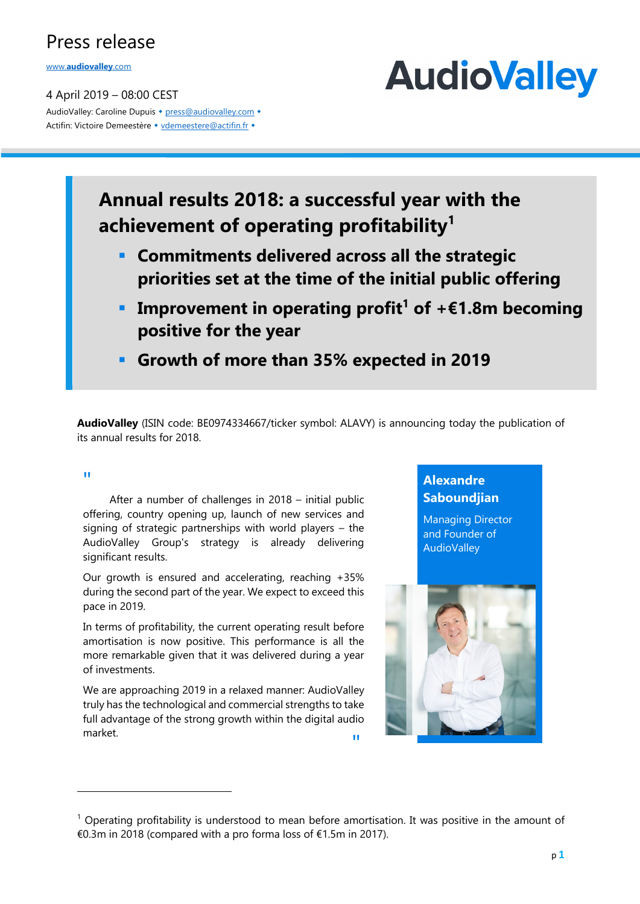www.**audiovalley**.com

4 April 2019 – 08:00 CEST AudioValley: Caroline Dupuis • press@audiovalley.com • Actifin: Victoire Demeestère • vdemeestere@actifin.fr •

# **AudioValley**

# **Annual results 2018: a successful year with the achievement of operating profitability1**

- § **Commitments delivered across all the strategic priorities set at the time of the initial public offering**
- **Improvement in operating profit<sup>1</sup> of**  $+ \epsilon 1.8$ **m becoming positive for the year**
- § **Growth of more than 35% expected in 2019**

**AudioValley** (ISIN code: BE0974334667/ticker symbol: ALAVY) is announcing today the publication of its annual results for 2018.

#### "

 $\overline{\phantom{a}}$ 

 After a number of challenges in 2018 – initial public offering, country opening up, launch of new services and signing of strategic partnerships with world players – the AudioValley Group's strategy is already delivering significant results.

Our growth is ensured and accelerating, reaching +35% during the second part of the year. We expect to exceed this pace in 2019.

In terms of profitability, the current operating result before amortisation is now positive. This performance is all the more remarkable given that it was delivered during a year of investments.

We are approaching 2019 in a relaxed manner: AudioValley truly has the technological and commercial strengths to take full advantage of the strong growth within the digital audio market. "

## **Alexandre Saboundjian**

Managing Director and Founder of AudioValley



 $<sup>1</sup>$  Operating profitability is understood to mean before amortisation. It was positive in the amount of</sup> €0.3m in 2018 (compared with a pro forma loss of €1.5m in 2017).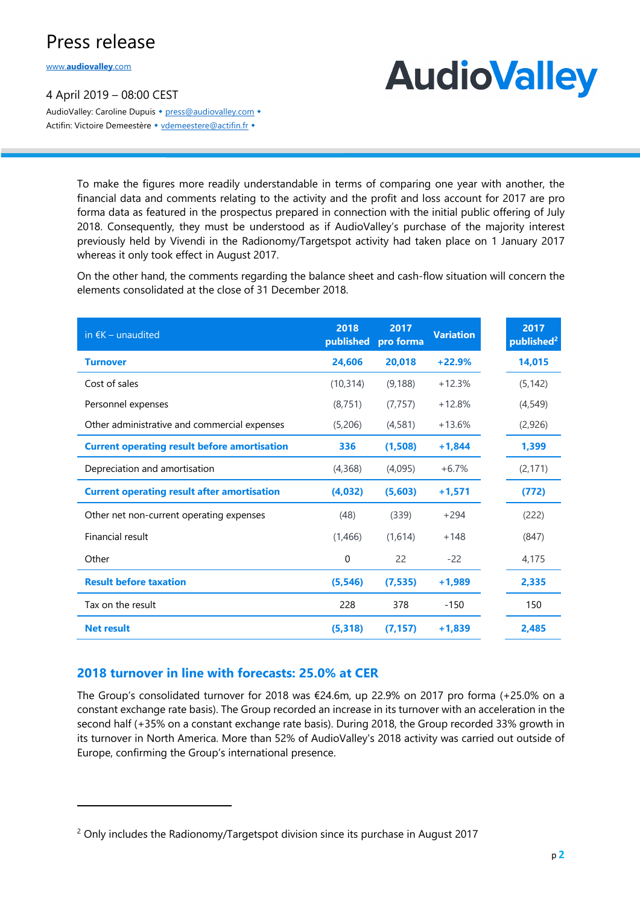www.**audiovalley**.com

 $\overline{\phantom{a}}$ 

4 April 2019 – 08:00 CEST AudioValley: Caroline Dupuis • press@audiovalley.com • Actifin: Victoire Demeestère • vdemeestere@actifin.fr •

# **AudioValley**

To make the figures more readily understandable in terms of comparing one year with another, the financial data and comments relating to the activity and the profit and loss account for 2017 are pro forma data as featured in the prospectus prepared in connection with the initial public offering of July 2018. Consequently, they must be understood as if AudioValley's purchase of the majority interest previously held by Vivendi in the Radionomy/Targetspot activity had taken place on 1 January 2017 whereas it only took effect in August 2017.

On the other hand, the comments regarding the balance sheet and cash-flow situation will concern the elements consolidated at the close of 31 December 2018.

| in $\epsilon K$ – unaudited                         | 2018<br>published | 2017<br>pro forma | <b>Variation</b> | 2017<br>published <sup>2</sup> |
|-----------------------------------------------------|-------------------|-------------------|------------------|--------------------------------|
| <b>Turnover</b>                                     | 24,606            | 20,018            | $+22.9%$         | 14,015                         |
| Cost of sales                                       | (10, 314)         | (9, 188)          | $+12.3%$         | (5, 142)                       |
| Personnel expenses                                  | (8, 751)          | (7, 757)          | $+12.8%$         | (4,549)                        |
| Other administrative and commercial expenses        | (5,206)           | (4,581)           | $+13.6%$         | (2,926)                        |
| <b>Current operating result before amortisation</b> | 336               | (1,508)           | $+1,844$         | 1,399                          |
| Depreciation and amortisation                       | (4,368)           | (4,095)           | $+6.7%$          | (2, 171)                       |
| <b>Current operating result after amortisation</b>  | (4,032)           | (5,603)           | $+1,571$         | (772)                          |
| Other net non-current operating expenses            | (48)              | (339)             | $+294$           | (222)                          |
| Financial result                                    | (1,466)           | (1,614)           | $+148$           | (847)                          |
| Other                                               | 0                 | 22                | $-22$            | 4,175                          |
| <b>Result before taxation</b>                       | (5, 546)          | (7, 535)          | $+1,989$         | 2,335                          |
| Tax on the result                                   | 228               | 378               | $-150$           | 150                            |
| <b>Net result</b>                                   | (5, 318)          | (7.157)           | $+1,839$         | 2,485                          |

### **2018 turnover in line with forecasts: 25.0% at CER**

The Group's consolidated turnover for 2018 was €24.6m, up 22.9% on 2017 pro forma (+25.0% on a constant exchange rate basis). The Group recorded an increase in its turnover with an acceleration in the second half (+35% on a constant exchange rate basis). During 2018, the Group recorded 33% growth in its turnover in North America. More than 52% of AudioValley's 2018 activity was carried out outside of Europe, confirming the Group's international presence.

 $2$  Only includes the Radionomy/Targetspot division since its purchase in August 2017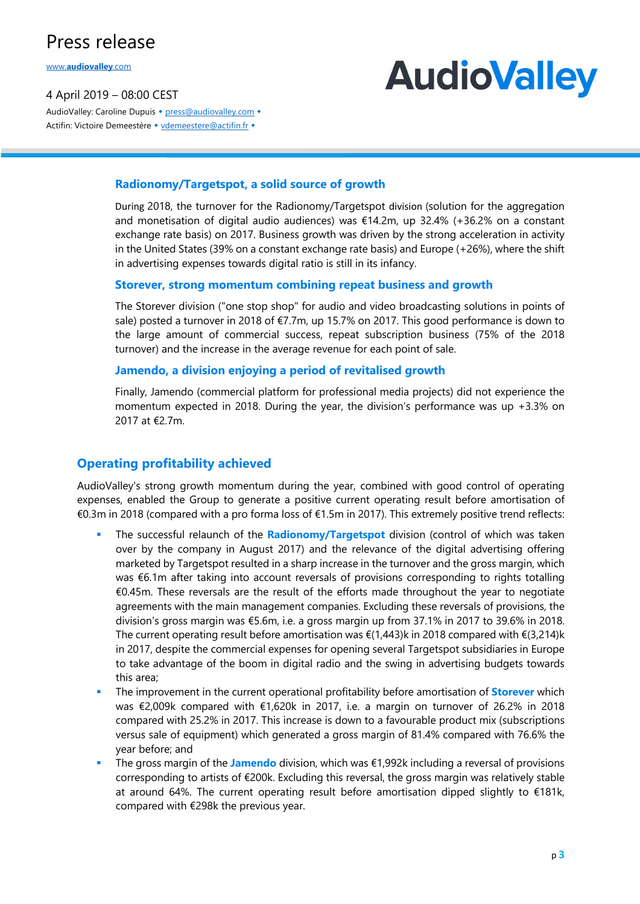www.**audiovalley**.com

4 April 2019 – 08:00 CEST AudioValley: Caroline Dupuis • press@audiovalley.com • Actifin: Victoire Demeestère • vdemeestere@actifin.fr •

# **AudioValley**

### **Radionomy/Targetspot, a solid source of growth**

During 2018, the turnover for the Radionomy/Targetspot division (solution for the aggregation and monetisation of digital audio audiences) was €14.2m, up 32.4% (+36.2% on a constant exchange rate basis) on 2017. Business growth was driven by the strong acceleration in activity in the United States (39% on a constant exchange rate basis) and Europe (+26%), where the shift in advertising expenses towards digital ratio is still in its infancy.

#### **Storever, strong momentum combining repeat business and growth**

The Storever division ("one stop shop" for audio and video broadcasting solutions in points of sale) posted a turnover in 2018 of €7.7m, up 15.7% on 2017. This good performance is down to the large amount of commercial success, repeat subscription business (75% of the 2018 turnover) and the increase in the average revenue for each point of sale.

#### **Jamendo, a division enjoying a period of revitalised growth**

Finally, Jamendo (commercial platform for professional media projects) did not experience the momentum expected in 2018. During the year, the division's performance was up +3.3% on 2017 at €2.7m.

### **Operating profitability achieved**

AudioValley's strong growth momentum during the year, combined with good control of operating expenses, enabled the Group to generate a positive current operating result before amortisation of €0.3m in 2018 (compared with a pro forma loss of €1.5m in 2017). This extremely positive trend reflects:

- § The successful relaunch of the **Radionomy/Targetspot** division (control of which was taken over by the company in August 2017) and the relevance of the digital advertising offering marketed by Targetspot resulted in a sharp increase in the turnover and the gross margin, which was €6.1m after taking into account reversals of provisions corresponding to rights totalling €0.45m. These reversals are the result of the efforts made throughout the year to negotiate agreements with the main management companies. Excluding these reversals of provisions, the division's gross margin was €5.6m, i.e. a gross margin up from 37.1% in 2017 to 39.6% in 2018. The current operating result before amortisation was €(1,443)k in 2018 compared with €(3,214)k in 2017, despite the commercial expenses for opening several Targetspot subsidiaries in Europe to take advantage of the boom in digital radio and the swing in advertising budgets towards this area;
- § The improvement in the current operational profitability before amortisation of **Storever** which was €2,009k compared with €1,620k in 2017, i.e. a margin on turnover of 26.2% in 2018 compared with 25.2% in 2017. This increase is down to a favourable product mix (subscriptions versus sale of equipment) which generated a gross margin of 81.4% compared with 76.6% the year before; and
- § The gross margin of the **Jamendo** division, which was €1,992k including a reversal of provisions corresponding to artists of €200k. Excluding this reversal, the gross margin was relatively stable at around 64%. The current operating result before amortisation dipped slightly to €181k, compared with €298k the previous year.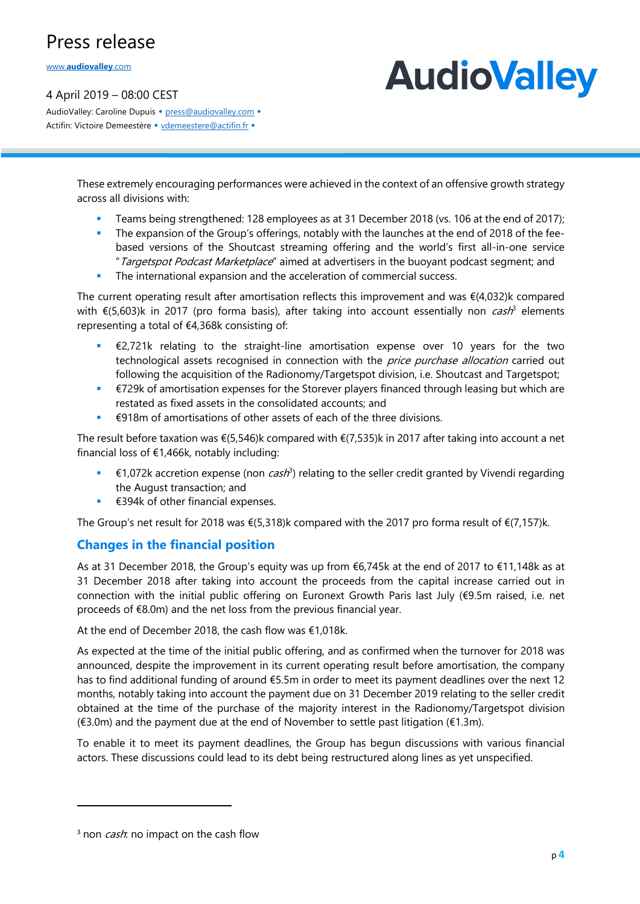www.**audiovalley**.com

4 April 2019 – 08:00 CEST

**AudioValley** 

AudioValley: Caroline Dupuis • press@audiovalley.com • Actifin: Victoire Demeestère • vdemeestere@actifin.fr •

> These extremely encouraging performances were achieved in the context of an offensive growth strategy across all divisions with:

- **•** Teams being strengthened: 128 employees as at 31 December 2018 (vs. 106 at the end of 2017);
- The expansion of the Group's offerings, notably with the launches at the end of 2018 of the feebased versions of the Shoutcast streaming offering and the world's first all-in-one service "Targetspot Podcast Marketplace" aimed at advertisers in the buoyant podcast segment; and
- The international expansion and the acceleration of commercial success.

The current operating result after amortisation reflects this improvement and was  $\epsilon$ (4,032)k compared with  $\epsilon$ (5,603)k in 2017 (pro forma basis), after taking into account essentially non *cash*<sup>3</sup> elements representing a total of €4,368k consisting of:

- $£2,721k$  relating to the straight-line amortisation expense over 10 years for the two technological assets recognised in connection with the *price purchase allocation* carried out following the acquisition of the Radionomy/Targetspot division, i.e. Shoutcast and Targetspot;
- €729k of amortisation expenses for the Storever players financed through leasing but which are restated as fixed assets in the consolidated accounts; and
- €918m of amortisations of other assets of each of the three divisions.

The result before taxation was €(5,546)k compared with €(7,535)k in 2017 after taking into account a net financial loss of €1,466k, notably including:

- $€1,072k$  accretion expense (non *cash*<sup>3</sup>) relating to the seller credit granted by Vivendi regarding the August transaction; and
- $€394k$  of other financial expenses.

The Group's net result for 2018 was €(5,318)k compared with the 2017 pro forma result of €(7,157)k.

### **Changes in the financial position**

As at 31 December 2018, the Group's equity was up from €6,745k at the end of 2017 to €11,148k as at 31 December 2018 after taking into account the proceeds from the capital increase carried out in connection with the initial public offering on Euronext Growth Paris last July (€9.5m raised, i.e. net proceeds of €8.0m) and the net loss from the previous financial year.

At the end of December 2018, the cash flow was €1,018k.

As expected at the time of the initial public offering, and as confirmed when the turnover for 2018 was announced, despite the improvement in its current operating result before amortisation, the company has to find additional funding of around €5.5m in order to meet its payment deadlines over the next 12 months, notably taking into account the payment due on 31 December 2019 relating to the seller credit obtained at the time of the purchase of the majority interest in the Radionomy/Targetspot division (€3.0m) and the payment due at the end of November to settle past litigation (€1.3m).

To enable it to meet its payment deadlines, the Group has begun discussions with various financial actors. These discussions could lead to its debt being restructured along lines as yet unspecified.

 $\overline{\phantom{a}}$ 

<sup>&</sup>lt;sup>3</sup> non *cash*: no impact on the cash flow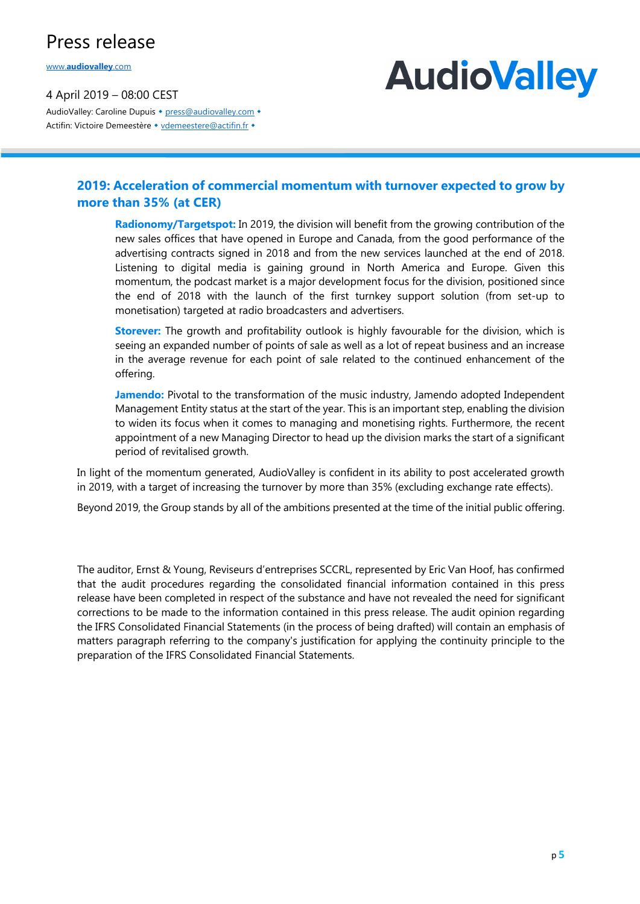www.**audiovalley**.com

4 April 2019 – 08:00 CEST AudioValley: Caroline Dupuis • press@audiovalley.com • Actifin: Victoire Demeestère • vdemeestere@actifin.fr •

# **AudioValley**

### **2019: Acceleration of commercial momentum with turnover expected to grow by more than 35% (at CER)**

**Radionomy/Targetspot:** In 2019, the division will benefit from the growing contribution of the new sales offices that have opened in Europe and Canada, from the good performance of the advertising contracts signed in 2018 and from the new services launched at the end of 2018. Listening to digital media is gaining ground in North America and Europe. Given this momentum, the podcast market is a major development focus for the division, positioned since the end of 2018 with the launch of the first turnkey support solution (from set-up to monetisation) targeted at radio broadcasters and advertisers.

**Storever:** The growth and profitability outlook is highly favourable for the division, which is seeing an expanded number of points of sale as well as a lot of repeat business and an increase in the average revenue for each point of sale related to the continued enhancement of the offering.

**Jamendo:** Pivotal to the transformation of the music industry, Jamendo adopted Independent Management Entity status at the start of the year. This is an important step, enabling the division to widen its focus when it comes to managing and monetising rights. Furthermore, the recent appointment of a new Managing Director to head up the division marks the start of a significant period of revitalised growth.

In light of the momentum generated, AudioValley is confident in its ability to post accelerated growth in 2019, with a target of increasing the turnover by more than 35% (excluding exchange rate effects).

Beyond 2019, the Group stands by all of the ambitions presented at the time of the initial public offering.

The auditor, Ernst & Young, Reviseurs d'entreprises SCCRL, represented by Eric Van Hoof, has confirmed that the audit procedures regarding the consolidated financial information contained in this press release have been completed in respect of the substance and have not revealed the need for significant corrections to be made to the information contained in this press release. The audit opinion regarding the IFRS Consolidated Financial Statements (in the process of being drafted) will contain an emphasis of matters paragraph referring to the company's justification for applying the continuity principle to the preparation of the IFRS Consolidated Financial Statements.